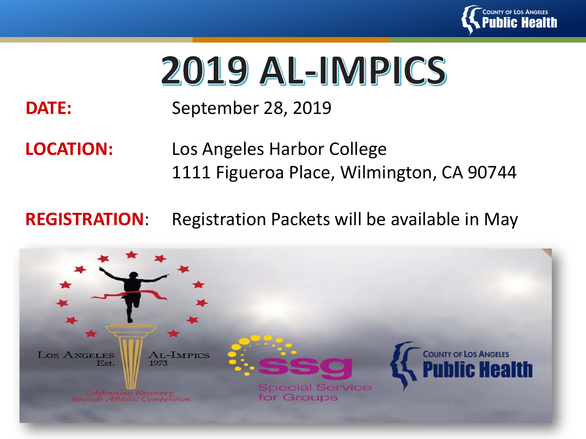

# 2019 AL-IMPICS

#### **DATE:** September 28, 2019

#### **LOCATION:** Los Angeles Harbor College 1111 Figueroa Place, Wilmington, CA 90744

#### **REGISTRATION**: Registration Packets will be available in May

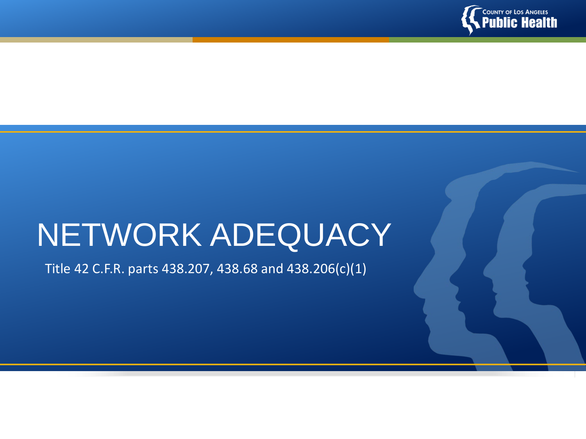

# NETWORK ADEQUACY

Title 42 C.F.R. parts 438.207, 438.68 and 438.206(c)(1)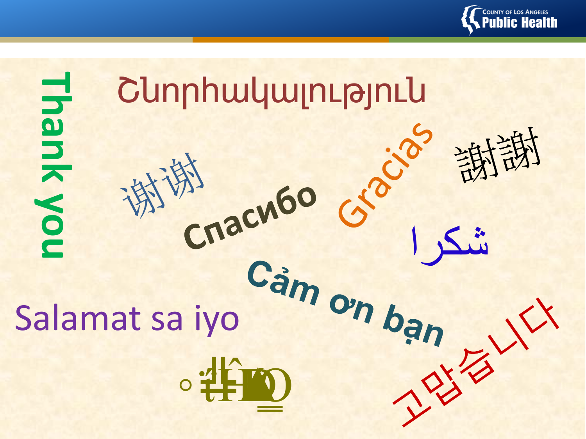

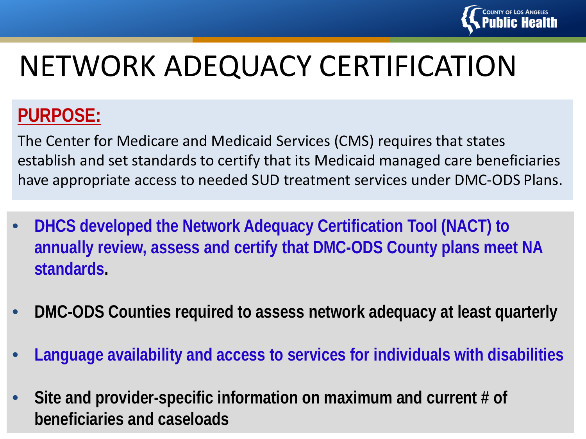

#### **PURPOSE:**

The Center for Medicare and Medicaid Services (CMS) requires that states establish and set standards to certify that its Medicaid managed care beneficiaries have appropriate access to needed SUD treatment services under DMC-ODS Plans.

- **DHCS developed the Network Adequacy Certification Tool (NACT) to annually review, assess and certify that DMC-ODS County plans meet NA standards.**
- **DMC-ODS Counties required to assess network adequacy at least quarterly**
- **Language availability and access to services for individuals with disabilities**
- **Site and provider-specific information on maximum and current # of beneficiaries and caseloads**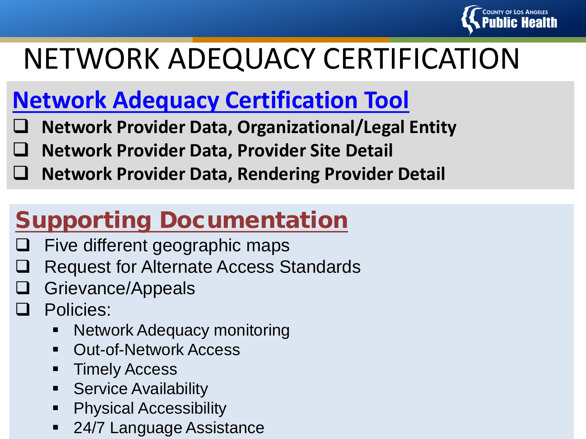

## **Network Adequacy Certification Tool**

- **Network Provider Data, Organizational/Legal Entity**
- **Network Provider Data, Provider Site Detail**
- **Network Provider Data, Rendering Provider Detail**

## Supporting Documentation

- Five different geographic maps
- Request for Alternate Access Standards
- Grievance/Appeals
- Policies:
	- Network Adequacy monitoring
	- Out-of-Network Access
	- **Timely Access**
	- **Service Availability**
	- Physical Accessibility
	- 24/7 Language Assistance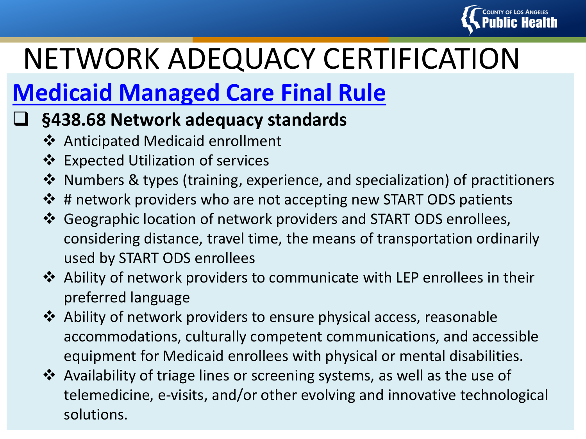

## **Medicaid Managed Care Final Rule**

#### **§438.68 Network adequacy standards**

- Anticipated Medicaid enrollment
- **€** Expected Utilization of services
- Numbers & types (training, experience, and specialization) of practitioners
- $\triangle$  # network providers who are not accepting new START ODS patients
- Geographic location of network providers and START ODS enrollees, considering distance, travel time, the means of transportation ordinarily used by START ODS enrollees
- Ability of network providers to communicate with LEP enrollees in their preferred language
- Ability of network providers to ensure physical access, reasonable accommodations, culturally competent communications, and accessible equipment for Medicaid enrollees with physical or mental disabilities.
- Availability of triage lines or screening systems, as well as the use of telemedicine, e-visits, and/or other evolving and innovative technological solutions.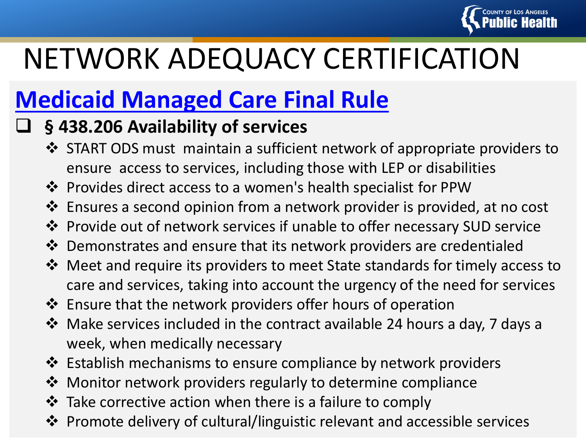

## **Medicaid Managed Care Final Rule**

#### **§ 438.206 Availability of services**

- START ODS must maintain a sufficient network of appropriate providers to ensure access to services, including those with LEP or disabilities
- Provides direct access to a women's health specialist for PPW
- Ensures a second opinion from a network provider is provided, at no cost
- Provide out of network services if unable to offer necessary SUD service
- Demonstrates and ensure that its network providers are credentialed
- Meet and require its providers to meet State standards for timely access to care and services, taking into account the urgency of the need for services
- Ensure that the network providers offer hours of operation
- Make services included in the contract available 24 hours a day, 7 days a week, when medically necessary
- Establish mechanisms to ensure compliance by network providers
- Monitor network providers regularly to determine compliance
- $\cdot$  Take corrective action when there is a failure to comply
- Promote delivery of cultural/linguistic relevant and accessible services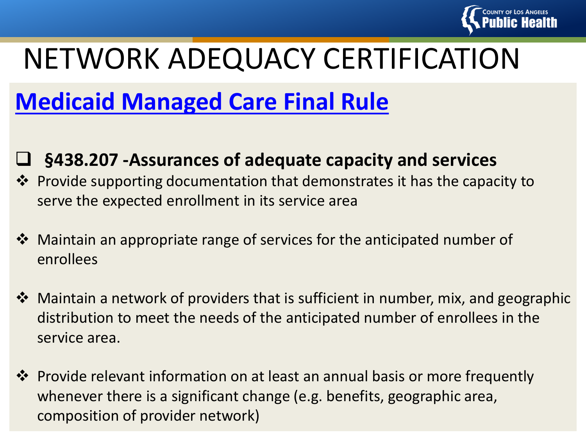

## **Medicaid Managed Care Final Rule**

#### **§438.207 -Assurances of adequate capacity and services**

- Provide supporting documentation that demonstrates it has the capacity to serve the expected enrollment in its service area
- Maintain an appropriate range of services for the anticipated number of enrollees
- Maintain a network of providers that is sufficient in number, mix, and geographic distribution to meet the needs of the anticipated number of enrollees in the service area.
- **\*** Provide relevant information on at least an annual basis or more frequently whenever there is a significant change (e.g. benefits, geographic area, composition of provider network)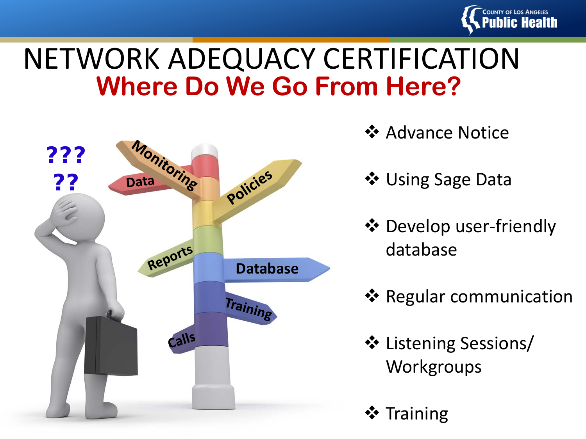

## **Where Do We Go From Here?** NETWORK ADEQUACY CERTIFICATION



- **☆ Advance Notice**
- ❖ Using Sage Data
- Develop user-friendly database
- **❖ Regular communication**
- ❖ Listening Sessions/ **Workgroups**
- **☆** Training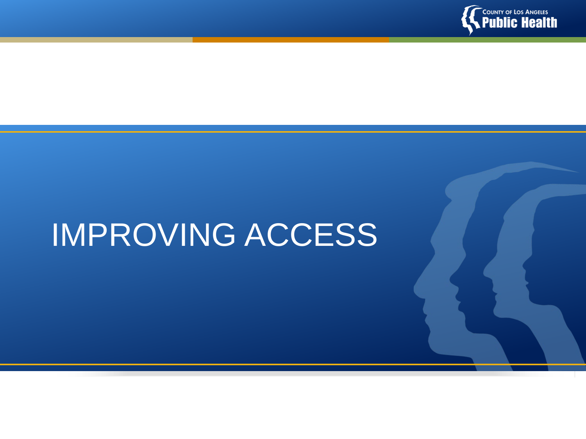

# IMPROVING ACCESS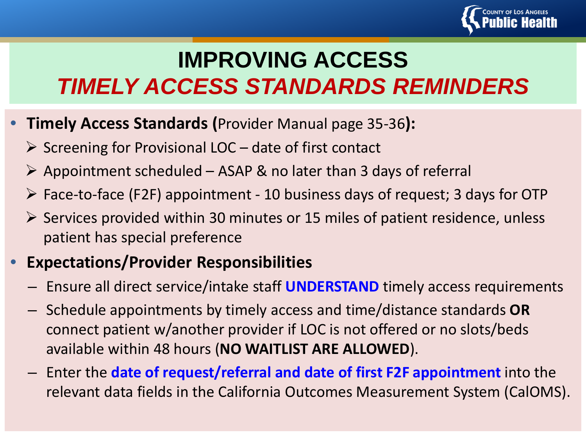

## **IMPROVING ACCESS** *TIMELY ACCESS STANDARDS REMINDERS*

- **Timely Access Standards (**Provider Manual page 35-36**):**
	- $\triangleright$  Screening for Provisional LOC date of first contact
	- $\triangleright$  Appointment scheduled ASAP & no later than 3 days of referral
	- $\triangleright$  Face-to-face (F2F) appointment 10 business days of request; 3 days for OTP
	- $\triangleright$  Services provided within 30 minutes or 15 miles of patient residence, unless patient has special preference

#### • **Expectations/Provider Responsibilities**

- Ensure all direct service/intake staff **UNDERSTAND** timely access requirements
- Schedule appointments by timely access and time/distance standards **OR** connect patient w/another provider if LOC is not offered or no slots/beds available within 48 hours (**NO WAITLIST ARE ALLOWED**).
- Enter the **date of request/referral and date of first F2F appointment** into the relevant data fields in the California Outcomes Measurement System (CalOMS).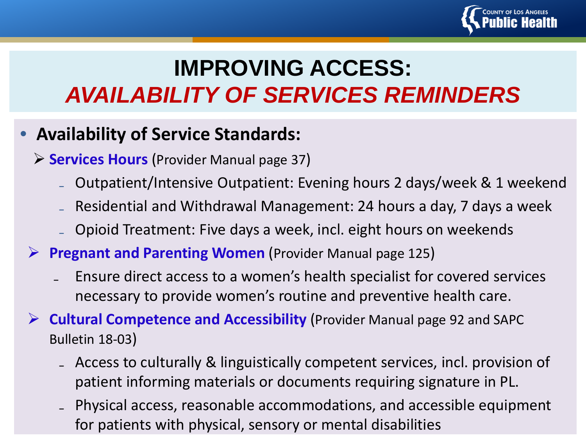

## **IMPROVING ACCESS:** *AVAILABILITY OF SERVICES REMINDERS*

#### • **Availability of Service Standards:**

- **Services Hours** (Provider Manual page 37)
	- ₋ Outpatient/Intensive Outpatient: Evening hours 2 days/week & 1 weekend
	- ₋ Residential and Withdrawal Management: 24 hours a day, 7 days a week
	- ₋ Opioid Treatment: Five days a week, incl. eight hours on weekends
- **Pregnant and Parenting Women** (Provider Manual page 125)
	- ₋ Ensure direct access to a women's health specialist for covered services necessary to provide women's routine and preventive health care.
- **Cultural Competence and Accessibility** (Provider Manual page 92 and SAPC Bulletin 18-03)
	- ₋ Access to culturally & linguistically competent services, incl. provision of patient informing materials or documents requiring signature in PL.
	- ₋ Physical access, reasonable accommodations, and accessible equipment for patients with physical, sensory or mental disabilities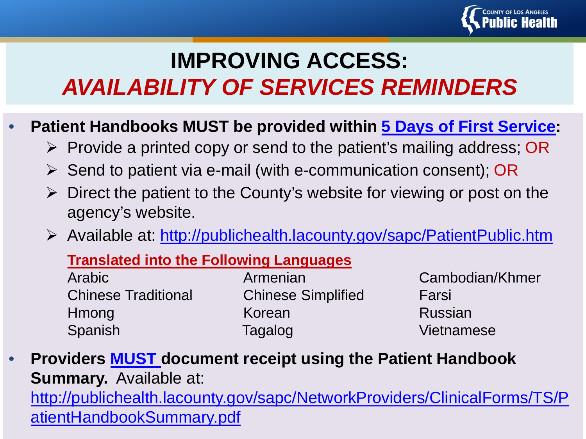

### **IMPROVING ACCESS:** *AVAILABILITY OF SERVICES REMINDERS*

- **Patient Handbooks MUST be provided within 5 Days of First Service:**
	- $\triangleright$  Provide a printed copy or send to the patient's mailing address; OR
	- $\triangleright$  Send to patient via e-mail (with e-communication consent); OR
	- $\triangleright$  Direct the patient to the County's website for viewing or post on the agency's website.
	- Available at:<http://publichealth.lacounty.gov/sapc/PatientPublic.htm>

#### **Translated into the Following Languages**

| Arabic                     | Armenian                  | Cambod  |
|----------------------------|---------------------------|---------|
| <b>Chinese Traditional</b> | <b>Chinese Simplified</b> | Farsi   |
| Hmong                      | Korean                    | Russian |
| Spanish                    | Tagalog                   | Vietnam |

Cambodian/Khmer Vietnamese

• **Providers MUST document receipt using the Patient Handbook Summary.** Available at: [http://publichealth.lacounty.gov/sapc/NetworkProviders/ClinicalForms/TS/P](http://publichealth.lacounty.gov/sapc/NetworkProviders/ClinicalForms/TS/PatientHandbookSummary.pdf) atientHandbookSummary.pdf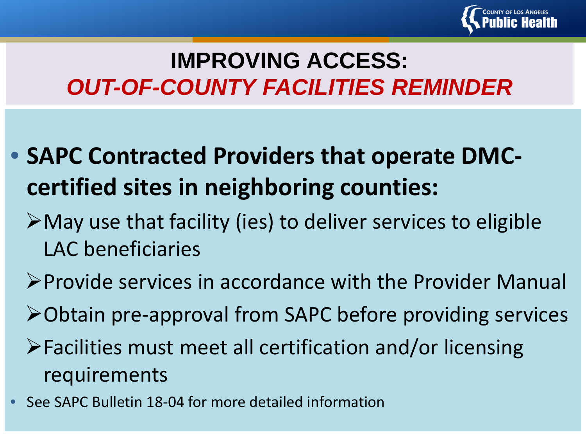

### **IMPROVING ACCESS:** *OUT-OF-COUNTY FACILITIES REMINDER*

- **SAPC Contracted Providers that operate DMCcertified sites in neighboring counties:**
	- May use that facility (ies) to deliver services to eligible LAC beneficiaries
	- Provide services in accordance with the Provider Manual
	- Obtain pre-approval from SAPC before providing services
	- Facilities must meet all certification and/or licensing requirements
- See SAPC Bulletin 18-04 for more detailed information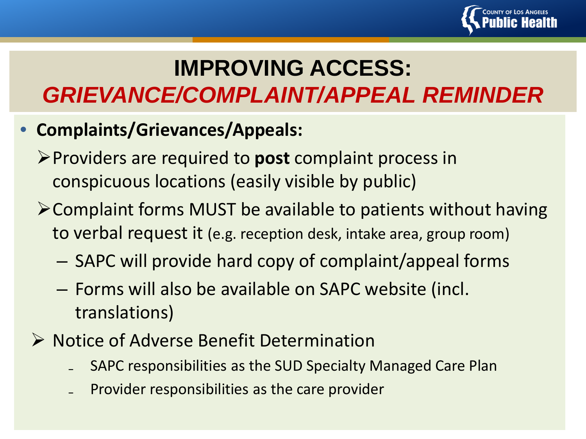

## **IMPROVING ACCESS:** *GRIEVANCE/COMPLAINT/APPEAL REMINDER*

- **Complaints/Grievances/Appeals:**
	- Providers are required to **post** complaint process in conspicuous locations (easily visible by public)
	- Complaint forms MUST be available to patients without having to verbal request it (e.g. reception desk, intake area, group room)
		- SAPC will provide hard copy of complaint/appeal forms
		- Forms will also be available on SAPC website (incl. translations)
	- ▶ Notice of Adverse Benefit Determination
		- ₋ SAPC responsibilities as the SUD Specialty Managed Care Plan
		- ₋ Provider responsibilities as the care provider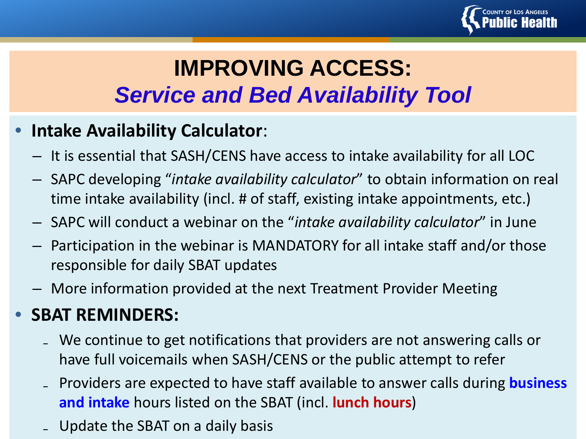

### **IMPROVING ACCESS:** *Service and Bed Availability Tool*

#### • **Intake Availability Calculator**:

- It is essential that SASH/CENS have access to intake availability for all LOC
- SAPC developing "*intake availability calculator*" to obtain information on real time intake availability (incl. # of staff, existing intake appointments, etc.)
- SAPC will conduct a webinar on the "*intake availability calculator*" in June
- Participation in the webinar is MANDATORY for all intake staff and/or those responsible for daily SBAT updates
- More information provided at the next Treatment Provider Meeting

#### • **SBAT REMINDERS:**

- ₋ We continue to get notifications that providers are not answering calls or have full voicemails when SASH/CENS or the public attempt to refer
- ₋ Providers are expected to have staff available to answer calls during **business and intake** hours listed on the SBAT (incl. **lunch hours**)
- Update the SBAT on a daily basis